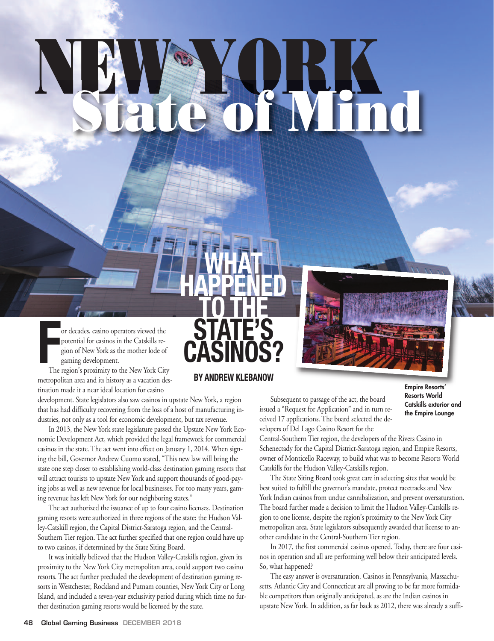# NEW YORK

**What**

**happened**

**to the**

**state's**

**casinos?**

**By andreW KleBanoW**

**F** or decades, casino operators viewed the potential for casinos in the Catskills region of New York as the mother lode of gaming development.

The region's proximity to the New York City metropolitan area and its history as a vacation destination made it a near ideal location for casino

development. State legislators also saw casinos in upstate New York, a region that has had difficulty recovering from the loss of a host of manufacturing industries, not only as a tool for economic development, but tax revenue.

In 2013, the New York state legislature passed the Upstate New York Economic Development Act, which provided the legal framework for commercial casinos in the state. The act went into effect on January 1, 2014. When signing the bill, Governor Andrew Cuomo stated, "This new law will bring the state one step closer to establishing world-class destination gaming resorts that will attract tourists to upstate New York and support thousands of good-paying jobs as well as new revenue for local businesses. For too many years, gaming revenue has left New York for our neighboring states."

The act authorized the issuance of up to four casino licenses. Destination gaming resorts were authorized in three regions of the state: the Hudson Valley-Catskill region, the Capital District-Saratoga region, and the Central-Southern Tier region. The act further specified that one region could have up to two casinos, if determined by the State Siting Board.

It was initially believed that the Hudson Valley-Catskills region, given its proximity to the New York City metropolitan area, could support two casino resorts. The act further precluded the development of destination gaming resorts in Westchester, Rockland and Putnam counties, New York City or Long Island, and included a seven-year exclusivity period during which time no further destination gaming resorts would be licensed by the state.



Subsequent to passage of the act, the board issued a "Request for Application" and in turn received 17 applications. The board selected the developers of Del Lago Casino Resort for the

**Empire Resorts' Resorts World Catskills exterior and the Empire Lounge**

Central-Southern Tier region, the developers of the Rivers Casino in Schenectady for the Capital District-Saratoga region, and Empire Resorts, owner of Monticello Raceway, to build what was to become Resorts World Catskills for the Hudson Valley-Catskills region.

The State Siting Board took great care in selecting sites that would be best suited to fulfill the governor's mandate, protect racetracks and New York Indian casinos from undue cannibalization, and prevent oversaturation. The board further made a decision to limit the Hudson Valley-Catskills region to one license, despite the region's proximity to the New York City metropolitan area. State legislators subsequently awarded that license to another candidate in the Central-Southern Tier region.

In 2017, the first commercial casinos opened. Today, there are four casinos in operation and all are performing well below their anticipated levels. So, what happened?

The easy answer is oversaturation. Casinos in Pennsylvania, Massachusetts, Atlantic City and Connecticut are all proving to be far more formidable competitors than originally anticipated, as are the Indian casinos in upstate New York. In addition, as far back as 2012, there was already a suffi-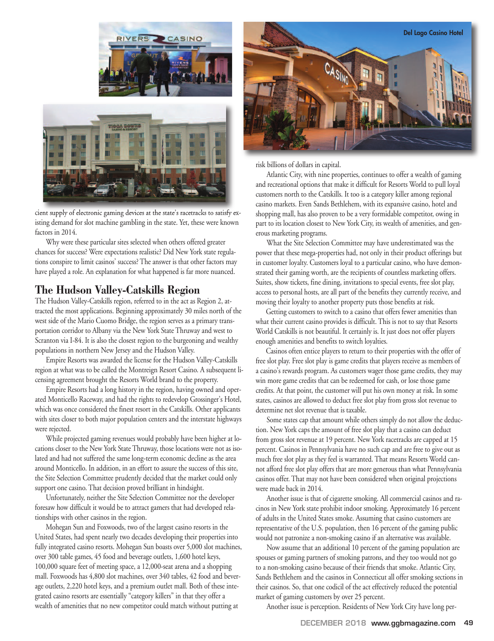

cient supply of electronic gaming devices at the state's racetracks to satisfy existing demand for slot machine gambling in the state. Yet, these were known factors in 2014.

Why were these particular sites selected when others offered greater chances for success? Were expectations realistic? Did New York state regulations conspire to limit casinos' success? The answer is that other factors may have played a role. An explanation for what happened is far more nuanced.

### **The Hudson Valley-Catskills Region**

The Hudson Valley-Catskills region, referred to in the act as Region 2, attracted the most applications. Beginning approximately 30 miles north of the west side of the Mario Cuomo Bridge, the region serves as a primary transportation corridor to Albany via the New York State Thruway and west to Scranton via I-84. It is also the closest region to the burgeoning and wealthy populations in northern New Jersey and the Hudson Valley.

Empire Resorts was awarded the license for the Hudson Valley-Catskills region at what was to be called the Montreign Resort Casino. A subsequent licensing agreement brought the Resorts World brand to the property.

Empire Resorts had a long history in the region, having owned and operated Monticello Raceway, and had the rights to redevelop Grossinger's Hotel, which was once considered the finest resort in the Catskills. Other applicants with sites closer to both major population centers and the interstate highways were rejected.

While projected gaming revenues would probably have been higher at locations closer to the New York State Thruway, those locations were not as isolated and had not suffered the same long-term economic decline as the area around Monticello. In addition, in an effort to assure the success of this site, the Site Selection Committee prudently decided that the market could only support one casino. That decision proved brilliant in hindsight.

Unfortunately, neither the Site Selection Committee nor the developer foresaw how difficult it would be to attract gamers that had developed relationships with other casinos in the region.

Mohegan Sun and Foxwoods, two of the largest casino resorts in the United States, had spent nearly two decades developing their properties into fully integrated casino resorts. Mohegan Sun boasts over 5,000 slot machines, over 300 table games, 45 food and beverage outlets, 1,600 hotel keys, 100,000 square feet of meeting space, a 12,000-seat arena and a shopping mall. Foxwoods has 4,800 slot machines, over 340 tables, 42 food and beverage outlets, 2,220 hotel keys, and a premium outlet mall. Both of these integrated casino resorts are essentially "category killers" in that they offer a wealth of amenities that no new competitor could match without putting at



risk billions of dollars in capital.

Atlantic City, with nine properties, continues to offer a wealth of gaming and recreational options that make it difficult for Resorts World to pull loyal customers north to the Catskills. It too is a category killer among regional casino markets. Even Sands Bethlehem, with its expansive casino, hotel and shopping mall, has also proven to be a very formidable competitor, owing in part to its location closest to New York City, its wealth of amenities, and generous marketing programs.

What the Site Selection Committee may have underestimated was the power that these mega-properties had, not only in their product offerings but in customer loyalty. Customers loyal to a particular casino, who have demonstrated their gaming worth, are the recipients of countless marketing offers. Suites, show tickets, fine dining, invitations to special events, free slot play, access to personal hosts, are all part of the benefits they currently receive, and moving their loyalty to another property puts those benefits at risk.

Getting customers to switch to a casino that offers fewer amenities than what their current casino provides is difficult. This is not to say that Resorts World Catskills is not beautiful. It certainly is. It just does not offer players enough amenities and benefits to switch loyalties.

Casinos often entice players to return to their properties with the offer of free slot play. Free slot play is game credits that players receive as members of a casino's rewards program. As customers wager those game credits, they may win more game credits that can be redeemed for cash, or lose those game credits. At that point, the customer will put his own money at risk. In some states, casinos are allowed to deduct free slot play from gross slot revenue to determine net slot revenue that is taxable.

Some states cap that amount while others simply do not allow the deduction. New York caps the amount of free slot play that a casino can deduct from gross slot revenue at 19 percent. New York racetracks are capped at 15 percent. Casinos in Pennsylvania have no such cap and are free to give out as much free slot play as they feel is warranted. That means Resorts World cannot afford free slot play offers that are more generous than what Pennsylvania casinos offer. That may not have been considered when original projections were made back in 2014.

Another issue is that of cigarette smoking. All commercial casinos and racinos in New York state prohibit indoor smoking. Approximately 16 percent of adults in the United States smoke. Assuming that casino customers are representative of the U.S. population, then 16 percent of the gaming public would not patronize a non-smoking casino if an alternative was available.

Now assume that an additional 10 percent of the gaming population are spouses or gaming partners of smoking patrons, and they too would not go to a non-smoking casino because of their friends that smoke. Atlantic City, Sands Bethlehem and the casinos in Connecticut all offer smoking sections in their casinos. So, that one codicil of the act effectively reduced the potential market of gaming customers by over 25 percent.

Another issue is perception. Residents of New York City have long per-